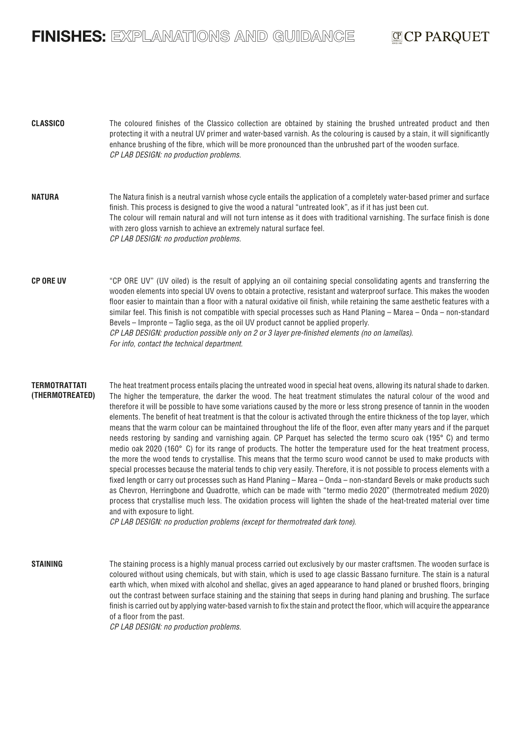# FINISHES: EXPLANATIONS AND GUIDANCE

# CP PARQUET

| <b>CLASSICO</b>                         | The coloured finishes of the Classico collection are obtained by staining the brushed untreated product and then<br>protecting it with a neutral UV primer and water-based varnish. As the colouring is caused by a stain, it will significantly<br>enhance brushing of the fibre, which will be more pronounced than the unbrushed part of the wooden surface.<br>CP LAB DESIGN: no production problems.                                                                                                                                                                                                                                                                                                                                                                                                                                                                                                                                                                                                                                                                                                                                                                                                                                                                                                                                                                                                                                                                                                                                                                                                         |
|-----------------------------------------|-------------------------------------------------------------------------------------------------------------------------------------------------------------------------------------------------------------------------------------------------------------------------------------------------------------------------------------------------------------------------------------------------------------------------------------------------------------------------------------------------------------------------------------------------------------------------------------------------------------------------------------------------------------------------------------------------------------------------------------------------------------------------------------------------------------------------------------------------------------------------------------------------------------------------------------------------------------------------------------------------------------------------------------------------------------------------------------------------------------------------------------------------------------------------------------------------------------------------------------------------------------------------------------------------------------------------------------------------------------------------------------------------------------------------------------------------------------------------------------------------------------------------------------------------------------------------------------------------------------------|
| <b>NATURA</b>                           | The Natura finish is a neutral varnish whose cycle entails the application of a completely water-based primer and surface<br>finish. This process is designed to give the wood a natural "untreated look", as if it has just been cut.<br>The colour will remain natural and will not turn intense as it does with traditional varnishing. The surface finish is done<br>with zero gloss varnish to achieve an extremely natural surface feel.<br>CP LAB DESIGN: no production problems.                                                                                                                                                                                                                                                                                                                                                                                                                                                                                                                                                                                                                                                                                                                                                                                                                                                                                                                                                                                                                                                                                                                          |
| <b>CP ORE UV</b>                        | "CP ORE UV" (UV oiled) is the result of applying an oil containing special consolidating agents and transferring the<br>wooden elements into special UV ovens to obtain a protective, resistant and waterproof surface. This makes the wooden<br>floor easier to maintain than a floor with a natural oxidative oil finish, while retaining the same aesthetic features with a<br>similar feel. This finish is not compatible with special processes such as Hand Planing - Marea - Onda - non-standard<br>Bevels – Impronte – Taglio sega, as the oil UV product cannot be applied properly.<br>CP LAB DESIGN: production possible only on 2 or 3 layer pre-finished elements (no on lamellas).<br>For info, contact the technical department.                                                                                                                                                                                                                                                                                                                                                                                                                                                                                                                                                                                                                                                                                                                                                                                                                                                                   |
| <b>TERMOTRATTATI</b><br>(THERMOTREATED) | The heat treatment process entails placing the untreated wood in special heat ovens, allowing its natural shade to darken.<br>The higher the temperature, the darker the wood. The heat treatment stimulates the natural colour of the wood and<br>therefore it will be possible to have some variations caused by the more or less strong presence of tannin in the wooden<br>elements. The benefit of heat treatment is that the colour is activated through the entire thickness of the top layer, which<br>means that the warm colour can be maintained throughout the life of the floor, even after many years and if the parquet<br>needs restoring by sanding and varnishing again. CP Parquet has selected the termo scuro oak (195°C) and termo<br>medio oak 2020 (160° C) for its range of products. The hotter the temperature used for the heat treatment process,<br>the more the wood tends to crystallise. This means that the termo scuro wood cannot be used to make products with<br>special processes because the material tends to chip very easily. Therefore, it is not possible to process elements with a<br>fixed length or carry out processes such as Hand Planing - Marea - Onda - non-standard Bevels or make products such<br>as Chevron, Herringbone and Quadrotte, which can be made with "termo medio 2020" (thermotreated medium 2020)<br>process that crystallise much less. The oxidation process will lighten the shade of the heat-treated material over time<br>and with exposure to light.<br>CP LAB DESIGN: no production problems (except for thermotreated dark tone). |
| <b>STAINING</b>                         | The staining process is a highly manual process carried out exclusively by our master craftsmen. The wooden surface is<br>coloured without using chemicals, but with stain, which is used to age classic Bassano furniture. The stain is a natural<br>earth which, when mixed with alcohol and shellac, gives an aged appearance to hand planed or brushed floors, bringing<br>out the contrast between surface staining and the staining that seeps in during hand planing and brushing. The surface<br>finish is carried out by applying water-based varnish to fix the stain and protect the floor, which will acquire the appearance<br>of a floor from the past.                                                                                                                                                                                                                                                                                                                                                                                                                                                                                                                                                                                                                                                                                                                                                                                                                                                                                                                                             |

*CP LAB DESIGN: no production problems.*